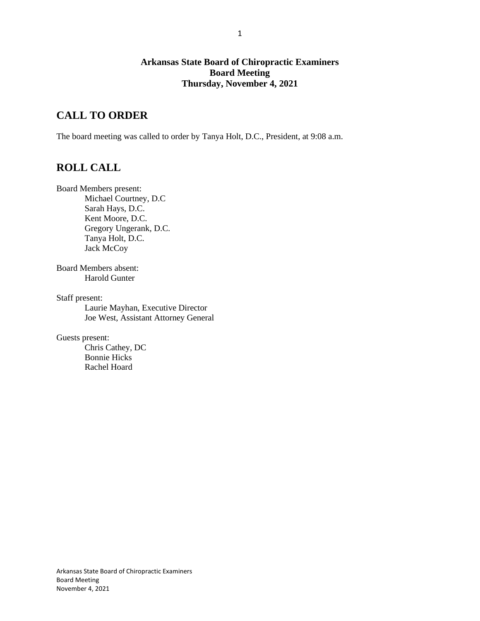## **Arkansas State Board of Chiropractic Examiners Board Meeting Thursday, November 4, 2021**

# **CALL TO ORDER**

The board meeting was called to order by Tanya Holt, D.C., President, at 9:08 a.m.

# **ROLL CALL**

Board Members present:

Michael Courtney, D.C Sarah Hays, D.C. Kent Moore, D.C. Gregory Ungerank, D.C. Tanya Holt, D.C. Jack McCoy

Board Members absent: Harold Gunter

Staff present: Laurie Mayhan, Executive Director Joe West, Assistant Attorney General

Guests present:

Chris Cathey, DC Bonnie Hicks Rachel Hoard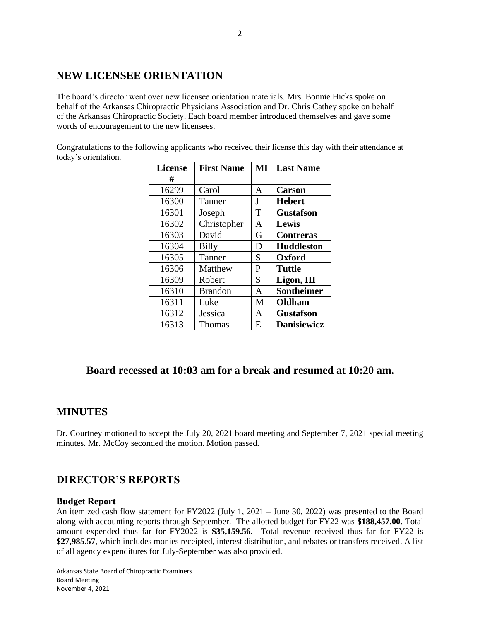# **NEW LICENSEE ORIENTATION**

The board's director went over new licensee orientation materials. Mrs. Bonnie Hicks spoke on behalf of the Arkansas Chiropractic Physicians Association and Dr. Chris Cathey spoke on behalf of the Arkansas Chiropractic Society. Each board member introduced themselves and gave some words of encouragement to the new licensees.

Congratulations to the following applicants who received their license this day with their attendance at today's orientation.

| <b>License</b> | <b>First Name</b> | MI | <b>Last Name</b>   |  |
|----------------|-------------------|----|--------------------|--|
| #              |                   |    |                    |  |
| 16299          | Carol             | A  | <b>Carson</b>      |  |
| 16300          | Tanner            | J  | <b>Hebert</b>      |  |
| 16301          | Joseph            | T  | <b>Gustafson</b>   |  |
| 16302          | Christopher       | A  | Lewis              |  |
| 16303          | David             | G  | <b>Contreras</b>   |  |
| 16304          | <b>Billy</b>      | D  | <b>Huddleston</b>  |  |
| 16305          | Tanner            | S  | <b>Oxford</b>      |  |
| 16306          | Matthew           | P  | <b>Tuttle</b>      |  |
| 16309          | Robert            | S  | Ligon, III         |  |
| 16310          | <b>Brandon</b>    | A  | <b>Sontheimer</b>  |  |
| 16311          | Luke              | M  | Oldham             |  |
| 16312          | Jessica           | A  | <b>Gustafson</b>   |  |
| 16313          | <b>Thomas</b>     | E. | <b>Danisiewicz</b> |  |

# **Board recessed at 10:03 am for a break and resumed at 10:20 am.**

## **MINUTES**

Dr. Courtney motioned to accept the July 20, 2021 board meeting and September 7, 2021 special meeting minutes. Mr. McCoy seconded the motion. Motion passed.

# **DIRECTOR'S REPORTS**

### **Budget Report**

An itemized cash flow statement for FY2022 (July 1, 2021 – June 30, 2022) was presented to the Board along with accounting reports through September. The allotted budget for FY22 was **\$188,457.00**. Total amount expended thus far for FY2022 is **\$35,159.56.** Total revenue received thus far for FY22 is **\$27,985.57**, which includes monies receipted, interest distribution, and rebates or transfers received. A list of all agency expenditures for July-September was also provided.

Arkansas State Board of Chiropractic Examiners Board Meeting November 4, 2021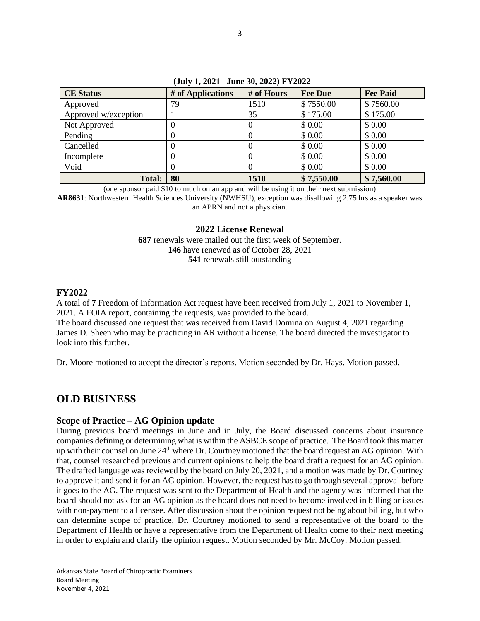| <b>CE Status</b>     | # of Applications | # of Hours | <b>Fee Due</b> | <b>Fee Paid</b> |
|----------------------|-------------------|------------|----------------|-----------------|
| Approved             | 79                | 1510       | \$7550.00      | \$7560.00       |
| Approved w/exception |                   | 35         | \$175.00       | \$175.00        |
| Not Approved         |                   |            | \$0.00         | \$0.00          |
| Pending              |                   |            | \$0.00         | \$0.00          |
| Cancelled            | $\mathbf{0}$      |            | \$0.00         | \$0.00          |
| Incomplete           |                   |            | \$ 0.00        | \$0.00          |
| Void                 |                   |            | \$0.00         | \$0.00          |
| <b>Total:</b>        | 80                | 1510       | \$7,550.00     | \$7,560.00      |

**(July 1, 2021– June 30, 2022) FY2022**

(one sponsor paid \$10 to much on an app and will be using it on their next submission)

**AR8631**: Northwestern Health Sciences University (NWHSU), exception was disallowing 2.75 hrs as a speaker was an APRN and not a physician.

### **2022 License Renewal**

**687** renewals were mailed out the first week of September. **146** have renewed as of October 28, 2021 **541** renewals still outstanding

### **FY2022**

A total of **7** Freedom of Information Act request have been received from July 1, 2021 to November 1, 2021. A FOIA report, containing the requests, was provided to the board.

The board discussed one request that was received from David Domina on August 4, 2021 regarding James D. Sheen who may be practicing in AR without a license. The board directed the investigator to look into this further.

Dr. Moore motioned to accept the director's reports. Motion seconded by Dr. Hays. Motion passed.

# **OLD BUSINESS**

## **Scope of Practice – AG Opinion update**

During previous board meetings in June and in July, the Board discussed concerns about insurance companies defining or determining what is within the ASBCE scope of practice. The Board took this matter up with their counsel on June  $24<sup>th</sup>$  where Dr. Courtney motioned that the board request an AG opinion. With that, counsel researched previous and current opinions to help the board draft a request for an AG opinion. The drafted language was reviewed by the board on July 20, 2021, and a motion was made by Dr. Courtney to approve it and send it for an AG opinion. However, the request has to go through several approval before it goes to the AG. The request was sent to the Department of Health and the agency was informed that the board should not ask for an AG opinion as the board does not need to become involved in billing or issues with non-payment to a licensee. After discussion about the opinion request not being about billing, but who can determine scope of practice, Dr. Courtney motioned to send a representative of the board to the Department of Health or have a representative from the Department of Health come to their next meeting in order to explain and clarify the opinion request. Motion seconded by Mr. McCoy. Motion passed.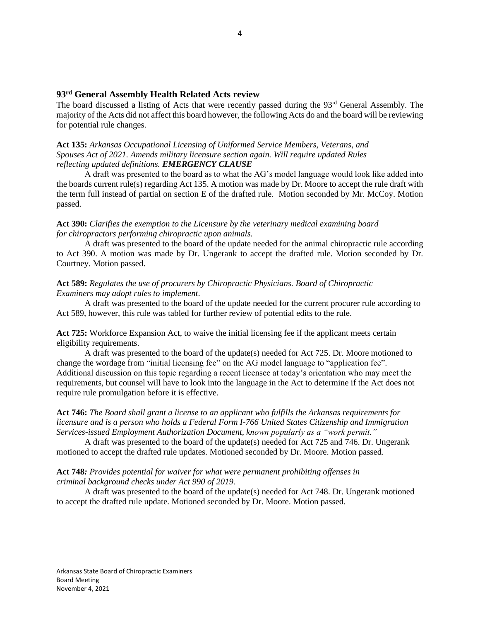#### **93rd General Assembly Health Related Acts review**

The board discussed a listing of Acts that were recently passed during the 93<sup>rd</sup> General Assembly. The majority of the Acts did not affect this board however, the following Acts do and the board will be reviewing for potential rule changes.

#### **Act 135:** *Arkansas Occupational Licensing of Uniformed Service Members, Veterans, and Spouses Act of 2021. Amends military licensure section again. Will require updated Rules reflecting updated definitions. EMERGENCY CLAUSE*

A draft was presented to the board as to what the AG's model language would look like added into the boards current rule(s) regarding Act 135. A motion was made by Dr. Moore to accept the rule draft with the term full instead of partial on section E of the drafted rule. Motion seconded by Mr. McCoy. Motion passed.

#### **Act 390:** *Clarifies the exemption to the Licensure by the veterinary medical examining board for chiropractors performing chiropractic upon animals.*

A draft was presented to the board of the update needed for the animal chiropractic rule according to Act 390. A motion was made by Dr. Ungerank to accept the drafted rule. Motion seconded by Dr. Courtney. Motion passed.

### **Act 589:** *Regulates the use of procurers by Chiropractic Physicians. Board of Chiropractic Examiners may adopt rules to implement*.

A draft was presented to the board of the update needed for the current procurer rule according to Act 589, however, this rule was tabled for further review of potential edits to the rule.

**Act 725:** Workforce Expansion Act, to waive the initial licensing fee if the applicant meets certain eligibility requirements.

A draft was presented to the board of the update(s) needed for Act 725. Dr. Moore motioned to change the wordage from "initial licensing fee" on the AG model language to "application fee". Additional discussion on this topic regarding a recent licensee at today's orientation who may meet the requirements, but counsel will have to look into the language in the Act to determine if the Act does not require rule promulgation before it is effective.

### **Act 746:** *The Board shall grant a license to an applicant who fulfills the Arkansas requirements for licensure and is a person who holds a Federal Form I-766 United States Citizenship and Immigration Services-issued Employment Authorization Document, known popularly as a "work permit."*

A draft was presented to the board of the update(s) needed for Act 725 and 746. Dr. Ungerank motioned to accept the drafted rule updates. Motioned seconded by Dr. Moore. Motion passed.

#### **Act 748***: Provides potential for waiver for what were permanent prohibiting offenses in criminal background checks under Act 990 of 2019.*

A draft was presented to the board of the update(s) needed for Act 748. Dr. Ungerank motioned to accept the drafted rule update. Motioned seconded by Dr. Moore. Motion passed.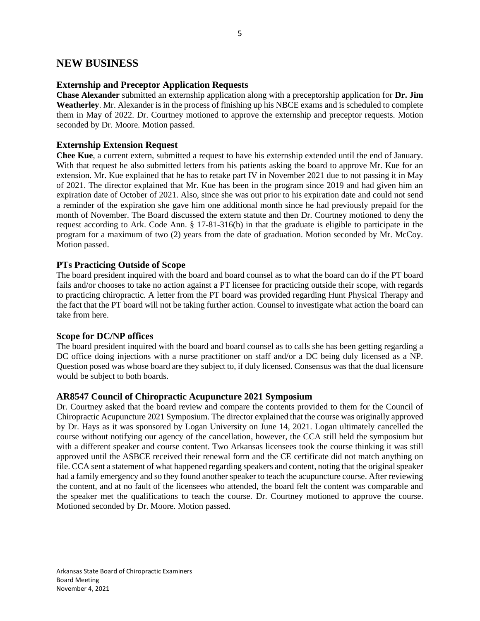## **NEW BUSINESS**

### **Externship and Preceptor Application Requests**

**Chase Alexander** submitted an externship application along with a preceptorship application for **Dr. Jim Weatherley**. Mr. Alexander is in the process of finishing up his NBCE exams and is scheduled to complete them in May of 2022. Dr. Courtney motioned to approve the externship and preceptor requests. Motion seconded by Dr. Moore. Motion passed.

### **Externship Extension Request**

**Chee Kue**, a current extern, submitted a request to have his externship extended until the end of January. With that request he also submitted letters from his patients asking the board to approve Mr. Kue for an extension. Mr. Kue explained that he has to retake part IV in November 2021 due to not passing it in May of 2021. The director explained that Mr. Kue has been in the program since 2019 and had given him an expiration date of October of 2021. Also, since she was out prior to his expiration date and could not send a reminder of the expiration she gave him one additional month since he had previously prepaid for the month of November. The Board discussed the extern statute and then Dr. Courtney motioned to deny the request according to Ark. Code Ann. § 17-81-316(b) in that the graduate is eligible to participate in the program for a maximum of two (2) years from the date of graduation. Motion seconded by Mr. McCoy. Motion passed.

## **PTs Practicing Outside of Scope**

The board president inquired with the board and board counsel as to what the board can do if the PT board fails and/or chooses to take no action against a PT licensee for practicing outside their scope, with regards to practicing chiropractic. A letter from the PT board was provided regarding Hunt Physical Therapy and the fact that the PT board will not be taking further action. Counsel to investigate what action the board can take from here.

### **Scope for DC/NP offices**

The board president inquired with the board and board counsel as to calls she has been getting regarding a DC office doing injections with a nurse practitioner on staff and/or a DC being duly licensed as a NP. Question posed was whose board are they subject to, if duly licensed. Consensus was that the dual licensure would be subject to both boards.

## **AR8547 Council of Chiropractic Acupuncture 2021 Symposium**

Dr. Courtney asked that the board review and compare the contents provided to them for the Council of Chiropractic Acupuncture 2021 Symposium. The director explained that the course was originally approved by Dr. Hays as it was sponsored by Logan University on June 14, 2021. Logan ultimately cancelled the course without notifying our agency of the cancellation, however, the CCA still held the symposium but with a different speaker and course content. Two Arkansas licensees took the course thinking it was still approved until the ASBCE received their renewal form and the CE certificate did not match anything on file. CCA sent a statement of what happened regarding speakers and content, noting that the original speaker had a family emergency and so they found another speaker to teach the acupuncture course. After reviewing the content, and at no fault of the licensees who attended, the board felt the content was comparable and the speaker met the qualifications to teach the course. Dr. Courtney motioned to approve the course. Motioned seconded by Dr. Moore. Motion passed.